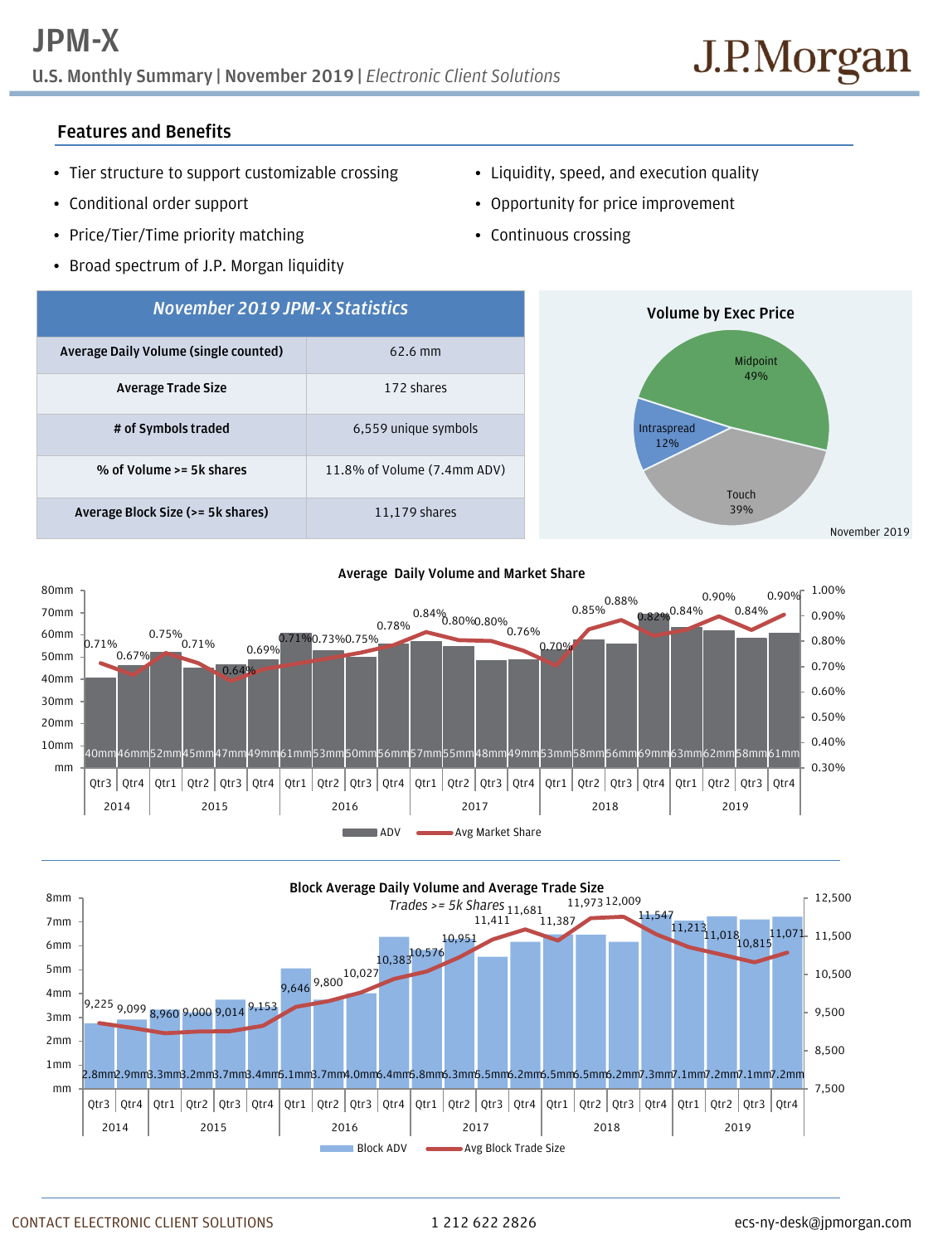**U.S. Monthly Summary | November 2019 |** *Electronic Client Solutions*

## **Features and Benefits**

- Tier structure to support customizable crossing
- Conditional order support
- Price/Tier/Time priority matching
- Broad spectrum of J.P. Morgan liquidity
- Liquidity, speed, and execution quality
- Opportunity for price improvement
- Continuous crossing